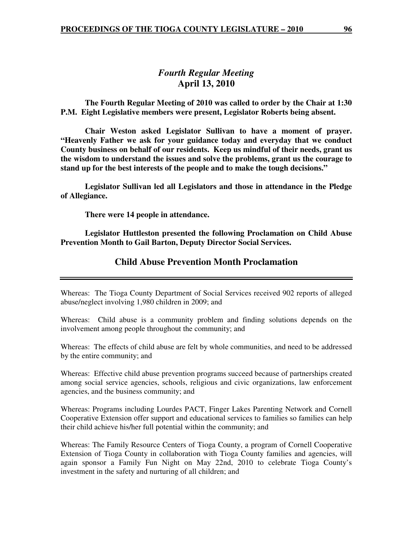## *Fourth Regular Meeting*  **April 13, 2010**

 **The Fourth Regular Meeting of 2010 was called to order by the Chair at 1:30 P.M. Eight Legislative members were present, Legislator Roberts being absent.** 

**Chair Weston asked Legislator Sullivan to have a moment of prayer. "Heavenly Father we ask for your guidance today and everyday that we conduct County business on behalf of our residents. Keep us mindful of their needs, grant us the wisdom to understand the issues and solve the problems, grant us the courage to stand up for the best interests of the people and to make the tough decisions."** 

 **Legislator Sullivan led all Legislators and those in attendance in the Pledge of Allegiance.** 

 **There were 14 people in attendance.** 

**Legislator Huttleston presented the following Proclamation on Child Abuse Prevention Month to Gail Barton, Deputy Director Social Services.** 

### **Child Abuse Prevention Month Proclamation**

Whereas: The Tioga County Department of Social Services received 902 reports of alleged abuse/neglect involving 1,980 children in 2009; and

Whereas: Child abuse is a community problem and finding solutions depends on the involvement among people throughout the community; and

Whereas: The effects of child abuse are felt by whole communities, and need to be addressed by the entire community; and

Whereas: Effective child abuse prevention programs succeed because of partnerships created among social service agencies, schools, religious and civic organizations, law enforcement agencies, and the business community; and

Whereas: Programs including Lourdes PACT, Finger Lakes Parenting Network and Cornell Cooperative Extension offer support and educational services to families so families can help their child achieve his/her full potential within the community; and

Whereas: The Family Resource Centers of Tioga County, a program of Cornell Cooperative Extension of Tioga County in collaboration with Tioga County families and agencies, will again sponsor a Family Fun Night on May 22nd, 2010 to celebrate Tioga County's investment in the safety and nurturing of all children; and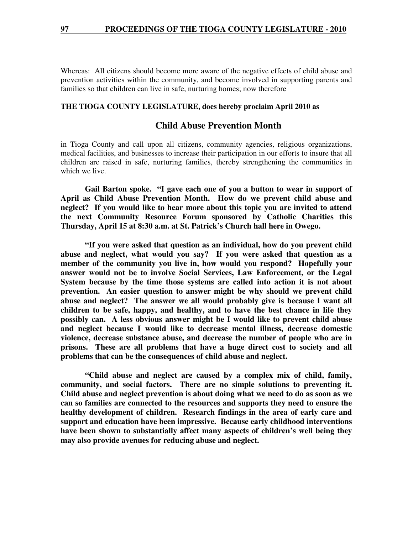Whereas: All citizens should become more aware of the negative effects of child abuse and prevention activities within the community, and become involved in supporting parents and families so that children can live in safe, nurturing homes; now therefore

#### **THE TIOGA COUNTY LEGISLATURE, does hereby proclaim April 2010 as**

#### **Child Abuse Prevention Month**

in Tioga County and call upon all citizens, community agencies, religious organizations, medical facilities, and businesses to increase their participation in our efforts to insure that all children are raised in safe, nurturing families, thereby strengthening the communities in which we live.

 **Gail Barton spoke. "I gave each one of you a button to wear in support of April as Child Abuse Prevention Month. How do we prevent child abuse and neglect? If you would like to hear more about this topic you are invited to attend the next Community Resource Forum sponsored by Catholic Charities this Thursday, April 15 at 8:30 a.m. at St. Patrick's Church hall here in Owego.** 

 **"If you were asked that question as an individual, how do you prevent child abuse and neglect, what would you say? If you were asked that question as a member of the community you live in, how would you respond? Hopefully your answer would not be to involve Social Services, Law Enforcement, or the Legal System because by the time those systems are called into action it is not about prevention. An easier question to answer might be why should we prevent child abuse and neglect? The answer we all would probably give is because I want all children to be safe, happy, and healthy, and to have the best chance in life they possibly can. A less obvious answer might be I would like to prevent child abuse and neglect because I would like to decrease mental illness, decrease domestic violence, decrease substance abuse, and decrease the number of people who are in prisons. These are all problems that have a huge direct cost to society and all problems that can be the consequences of child abuse and neglect.** 

 **"Child abuse and neglect are caused by a complex mix of child, family, community, and social factors. There are no simple solutions to preventing it. Child abuse and neglect prevention is about doing what we need to do as soon as we can so families are connected to the resources and supports they need to ensure the healthy development of children. Research findings in the area of early care and support and education have been impressive. Because early childhood interventions have been shown to substantially affect many aspects of children's well being they may also provide avenues for reducing abuse and neglect.**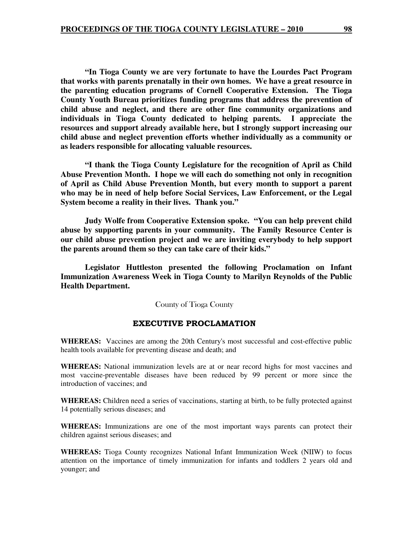**"In Tioga County we are very fortunate to have the Lourdes Pact Program that works with parents prenatally in their own homes. We have a great resource in the parenting education programs of Cornell Cooperative Extension. The Tioga County Youth Bureau prioritizes funding programs that address the prevention of child abuse and neglect, and there are other fine community organizations and individuals in Tioga County dedicated to helping parents. I appreciate the resources and support already available here, but I strongly support increasing our child abuse and neglect prevention efforts whether individually as a community or as leaders responsible for allocating valuable resources.** 

**"I thank the Tioga County Legislature for the recognition of April as Child Abuse Prevention Month. I hope we will each do something not only in recognition of April as Child Abuse Prevention Month, but every month to support a parent who may be in need of help before Social Services, Law Enforcement, or the Legal System become a reality in their lives. Thank you."** 

 **Judy Wolfe from Cooperative Extension spoke. "You can help prevent child abuse by supporting parents in your community. The Family Resource Center is our child abuse prevention project and we are inviting everybody to help support the parents around them so they can take care of their kids."** 

 **Legislator Huttleston presented the following Proclamation on Infant Immunization Awareness Week in Tioga County to Marilyn Reynolds of the Public Health Department.** 

County of Tioga County

#### EXECUTIVE PROCLAMATION

**WHEREAS:** Vaccines are among the 20th Century's most successful and cost-effective public health tools available for preventing disease and death; and

**WHEREAS:** National immunization levels are at or near record highs for most vaccines and most vaccine-preventable diseases have been reduced by 99 percent or more since the introduction of vaccines; and

**WHEREAS:** Children need a series of vaccinations, starting at birth, to be fully protected against 14 potentially serious diseases; and

**WHEREAS:** Immunizations are one of the most important ways parents can protect their children against serious diseases; and

**WHEREAS:** Tioga County recognizes National Infant Immunization Week (NIIW) to focus attention on the importance of timely immunization for infants and toddlers 2 years old and younger; and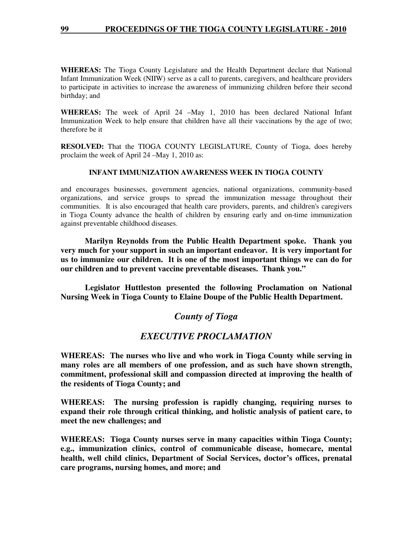**WHEREAS:** The Tioga County Legislature and the Health Department declare that National Infant Immunization Week (NIIW) serve as a call to parents, caregivers, and healthcare providers to participate in activities to increase the awareness of immunizing children before their second birthday; and

**WHEREAS:** The week of April 24 –May 1, 2010 has been declared National Infant Immunization Week to help ensure that children have all their vaccinations by the age of two; therefore be it

**RESOLVED:** That the TIOGA COUNTY LEGISLATURE, County of Tioga, does hereby proclaim the week of April 24 –May 1, 2010 as:

#### **INFANT IMMUNIZATION AWARENESS WEEK IN TIOGA COUNTY**

and encourages businesses, government agencies, national organizations, community-based organizations, and service groups to spread the immunization message throughout their communities. It is also encouraged that health care providers, parents, and children's caregivers in Tioga County advance the health of children by ensuring early and on-time immunization against preventable childhood diseases.

 **Marilyn Reynolds from the Public Health Department spoke. Thank you very much for your support in such an important endeavor. It is very important for us to immunize our children. It is one of the most important things we can do for our children and to prevent vaccine preventable diseases. Thank you."** 

 **Legislator Huttleston presented the following Proclamation on National Nursing Week in Tioga County to Elaine Doupe of the Public Health Department.** 

## *County of Tioga*

# *EXECUTIVE PROCLAMATION*

**WHEREAS: The nurses who live and who work in Tioga County while serving in many roles are all members of one profession, and as such have shown strength, commitment, professional skill and compassion directed at improving the health of the residents of Tioga County; and** 

**WHEREAS: The nursing profession is rapidly changing, requiring nurses to expand their role through critical thinking, and holistic analysis of patient care, to meet the new challenges; and** 

**WHEREAS: Tioga County nurses serve in many capacities within Tioga County; e.g., immunization clinics, control of communicable disease, homecare, mental health, well child clinics, Department of Social Services, doctor's offices, prenatal care programs, nursing homes, and more; and**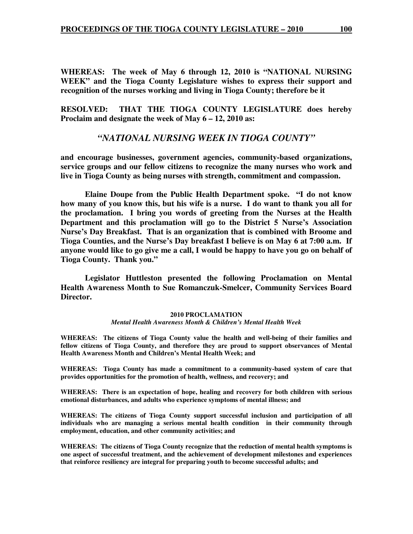**WHEREAS: The week of May 6 through 12, 2010 is "NATIONAL NURSING WEEK" and the Tioga County Legislature wishes to express their support and recognition of the nurses working and living in Tioga County; therefore be it** 

**RESOLVED: THAT THE TIOGA COUNTY LEGISLATURE does hereby Proclaim and designate the week of May 6 – 12, 2010 as:** 

#### *"NATIONAL NURSING WEEK IN TIOGA COUNTY"*

**and encourage businesses, government agencies, community-based organizations, service groups and our fellow citizens to recognize the many nurses who work and live in Tioga County as being nurses with strength, commitment and compassion.** 

 **Elaine Doupe from the Public Health Department spoke. "I do not know how many of you know this, but his wife is a nurse. I do want to thank you all for the proclamation. I bring you words of greeting from the Nurses at the Health Department and this proclamation will go to the District 5 Nurse's Association Nurse's Day Breakfast. That is an organization that is combined with Broome and Tioga Counties, and the Nurse's Day breakfast I believe is on May 6 at 7:00 a.m. If anyone would like to go give me a call, I would be happy to have you go on behalf of Tioga County. Thank you."** 

 **Legislator Huttleston presented the following Proclamation on Mental Health Awareness Month to Sue Romanczuk-Smelcer, Community Services Board Director.** 

#### **2010 PROCLAMATION**  *Mental Health Awareness Month & Children's Mental Health Week*

**WHEREAS: The citizens of Tioga County value the health and well-being of their families and fellow citizens of Tioga County, and therefore they are proud to support observances of Mental Health Awareness Month and Children's Mental Health Week; and** 

**WHEREAS: Tioga County has made a commitment to a community-based system of care that provides opportunities for the promotion of health, wellness, and recovery; and** 

**WHEREAS: There is an expectation of hope, healing and recovery for both children with serious emotional disturbances, and adults who experience symptoms of mental illness; and** 

**WHEREAS: The citizens of Tioga County support successful inclusion and participation of all individuals who are managing a serious mental health condition in their community through employment, education, and other community activities; and** 

**WHEREAS: The citizens of Tioga County recognize that the reduction of mental health symptoms is one aspect of successful treatment, and the achievement of development milestones and experiences that reinforce resiliency are integral for preparing youth to become successful adults; and**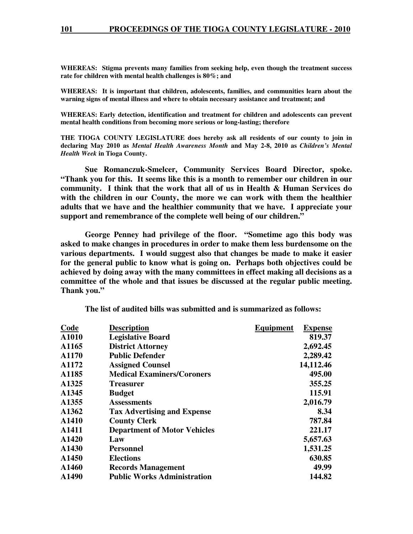**WHEREAS: Stigma prevents many families from seeking help, even though the treatment success rate for children with mental health challenges is 80%; and** 

**WHEREAS: It is important that children, adolescents, families, and communities learn about the warning signs of mental illness and where to obtain necessary assistance and treatment; and** 

**WHEREAS: Early detection, identification and treatment for children and adolescents can prevent mental health conditions from becoming more serious or long-lasting; therefore** 

**THE TIOGA COUNTY LEGISLATURE does hereby ask all residents of our county to join in declaring May 2010 as** *Mental Health Awareness Month* **and May 2-8, 2010 as** *Children's Mental Health Week* **in Tioga County.** 

 **Sue Romanczuk-Smelcer, Community Services Board Director, spoke. "Thank you for this. It seems like this is a month to remember our children in our community. I think that the work that all of us in Health & Human Services do with the children in our County, the more we can work with them the healthier adults that we have and the healthier community that we have. I appreciate your support and remembrance of the complete well being of our children."** 

 **George Penney had privilege of the floor. "Sometime ago this body was asked to make changes in procedures in order to make them less burdensome on the various departments. I would suggest also that changes be made to make it easier for the general public to know what is going on. Perhaps both objectives could be achieved by doing away with the many committees in effect making all decisions as a committee of the whole and that issues be discussed at the regular public meeting. Thank you."** 

| Code  | <b>Description</b>                  | Equipment | <b>Expense</b> |
|-------|-------------------------------------|-----------|----------------|
| A1010 | <b>Legislative Board</b>            |           | 819.37         |
| A1165 | <b>District Attorney</b>            |           | 2,692.45       |
| A1170 | <b>Public Defender</b>              |           | 2,289.42       |
| A1172 | <b>Assigned Counsel</b>             |           | 14,112.46      |
| A1185 | <b>Medical Examiners/Coroners</b>   |           | 495.00         |
| A1325 | <b>Treasurer</b>                    |           | 355.25         |
| A1345 | <b>Budget</b>                       |           | 115.91         |
| A1355 | <b>Assessments</b>                  |           | 2,016.79       |
| A1362 | <b>Tax Advertising and Expense</b>  |           | 8.34           |
| A1410 | <b>County Clerk</b>                 |           | 787.84         |
| A1411 | <b>Department of Motor Vehicles</b> |           | 221.17         |
| A1420 | Law                                 |           | 5,657.63       |
| A1430 | <b>Personnel</b>                    |           | 1,531.25       |
| A1450 | <b>Elections</b>                    |           | 630.85         |
| A1460 | <b>Records Management</b>           |           | 49.99          |
| A1490 | <b>Public Works Administration</b>  |           | 144.82         |
|       |                                     |           |                |

 **The list of audited bills was submitted and is summarized as follows:**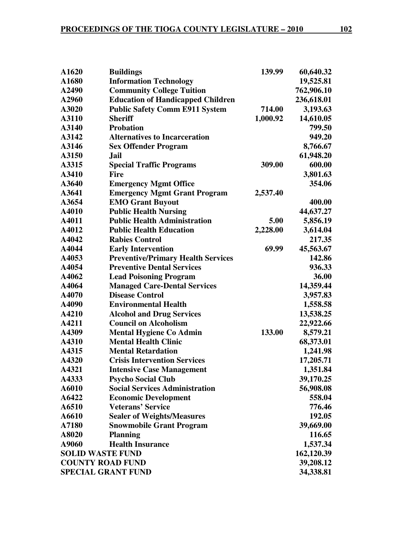| A1620                     | <b>Buildings</b>                          | 139.99   | 60,640.32  |
|---------------------------|-------------------------------------------|----------|------------|
| A1680                     | <b>Information Technology</b>             |          | 19,525.81  |
| A2490                     | <b>Community College Tuition</b>          |          | 762,906.10 |
| A2960                     | <b>Education of Handicapped Children</b>  |          | 236,618.01 |
| A3020                     | <b>Public Safety Comm E911 System</b>     | 714.00   | 3,193.63   |
| A3110                     | <b>Sheriff</b>                            | 1,000.92 | 14,610.05  |
| A3140                     | <b>Probation</b>                          |          | 799.50     |
| A3142                     | <b>Alternatives to Incarceration</b>      |          | 949.20     |
| A3146                     | <b>Sex Offender Program</b>               |          | 8,766.67   |
| A3150                     | Jail                                      |          | 61,948.20  |
| A3315                     | <b>Special Traffic Programs</b>           | 309.00   | 600.00     |
| A3410                     | <b>Fire</b>                               |          | 3,801.63   |
| A3640                     | <b>Emergency Mgmt Office</b>              |          | 354.06     |
| A3641                     | <b>Emergency Mgmt Grant Program</b>       | 2,537.40 |            |
| A3654                     | <b>EMO Grant Buyout</b>                   |          | 400.00     |
| A4010                     | <b>Public Health Nursing</b>              |          | 44,637.27  |
| A4011                     | <b>Public Health Administration</b>       | 5.00     | 5,856.19   |
| A4012                     | <b>Public Health Education</b>            | 2,228.00 | 3,614.04   |
| A4042                     | <b>Rabies Control</b>                     |          | 217.35     |
| A4044                     | <b>Early Intervention</b>                 | 69.99    | 45,563.67  |
| A4053                     | <b>Preventive/Primary Health Services</b> |          | 142.86     |
| A4054                     | <b>Preventive Dental Services</b>         |          | 936.33     |
| A4062                     | <b>Lead Poisoning Program</b>             |          | 36.00      |
| A4064                     | <b>Managed Care-Dental Services</b>       |          | 14,359.44  |
| A4070                     | <b>Disease Control</b>                    |          | 3,957.83   |
| A4090                     | <b>Environmental Health</b>               |          | 1,558.58   |
| A4210                     | <b>Alcohol and Drug Services</b>          |          | 13,538.25  |
| A4211                     | <b>Council on Alcoholism</b>              |          | 22,922.66  |
| A4309                     | <b>Mental Hygiene Co Admin</b>            | 133.00   | 8,579.21   |
| A4310                     | <b>Mental Health Clinic</b>               |          | 68,373.01  |
| A4315                     | <b>Mental Retardation</b>                 |          | 1,241.98   |
| A4320                     | <b>Crisis Intervention Services</b>       |          | 17,205.71  |
| A4321                     | <b>Intensive Case Management</b>          |          | 1,351.84   |
| A4333                     | <b>Psycho Social Club</b>                 |          | 39,170.25  |
| A6010                     | <b>Social Services Administration</b>     |          | 56,908.08  |
| A6422                     | <b>Economic Development</b>               |          | 558.04     |
| A6510                     | <b>Veterans' Service</b>                  |          | 776.46     |
| A6610                     | <b>Sealer of Weights/Measures</b>         |          | 192.05     |
| A7180                     | <b>Snowmobile Grant Program</b>           |          | 39,669.00  |
| A8020                     | <b>Planning</b>                           |          | 116.65     |
| A9060                     | <b>Health Insurance</b>                   |          | 1,537.34   |
| <b>SOLID WASTE FUND</b>   |                                           |          | 162,120.39 |
| <b>COUNTY ROAD FUND</b>   |                                           |          | 39,208.12  |
| <b>SPECIAL GRANT FUND</b> |                                           |          | 34,338.81  |
|                           |                                           |          |            |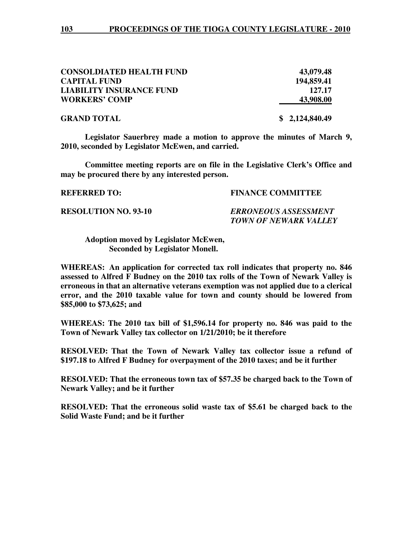| <b>CONSOLDIATED HEALTH FUND</b> | 43,079.48      |
|---------------------------------|----------------|
| <b>CAPITAL FUND</b>             | 194,859.41     |
| <b>LIABILITY INSURANCE FUND</b> | 127.17         |
| <b>WORKERS' COMP</b>            | 43,908.00      |
| <b>GRAND TOTAL</b>              | \$2,124,840.49 |

**Legislator Sauerbrey made a motion to approve the minutes of March 9, 2010, seconded by Legislator McEwen, and carried.** 

**Committee meeting reports are on file in the Legislative Clerk's Office and may be procured there by any interested person.** 

#### **REFERRED TO: FINANCE COMMITTEE**

**RESOLUTION NO. 93-10** *ERRONEOUS ASSESSMENT* 

 *TOWN OF NEWARK VALLEY* 

 **Adoption moved by Legislator McEwen, Seconded by Legislator Monell.** 

**WHEREAS: An application for corrected tax roll indicates that property no. 846 assessed to Alfred F Budney on the 2010 tax rolls of the Town of Newark Valley is erroneous in that an alternative veterans exemption was not applied due to a clerical error, and the 2010 taxable value for town and county should be lowered from \$85,000 to \$73,625; and** 

**WHEREAS: The 2010 tax bill of \$1,596.14 for property no. 846 was paid to the Town of Newark Valley tax collector on 1/21/2010; be it therefore** 

**RESOLVED: That the Town of Newark Valley tax collector issue a refund of \$197.18 to Alfred F Budney for overpayment of the 2010 taxes; and be it further** 

**RESOLVED: That the erroneous town tax of \$57.35 be charged back to the Town of Newark Valley; and be it further** 

**RESOLVED: That the erroneous solid waste tax of \$5.61 be charged back to the Solid Waste Fund; and be it further**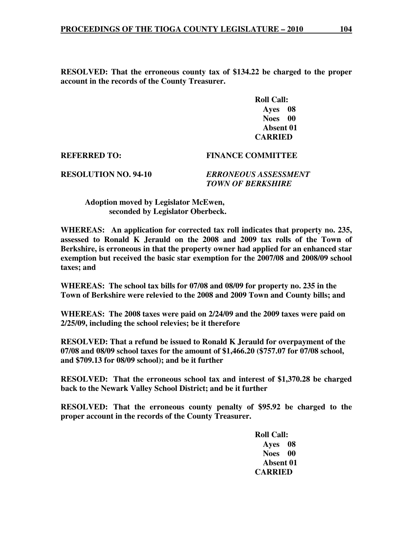**RESOLVED: That the erroneous county tax of \$134.22 be charged to the proper account in the records of the County Treasurer.** 

> **Roll Call: Ayes 08 Noes 00 Absent 01 CARRIED**

#### **REFERRED TO: FINANCE COMMITTEE**

**RESOLUTION NO. 94-10** *ERRONEOUS ASSESSMENT TOWN OF BERKSHIRE* 

 **Adoption moved by Legislator McEwen, seconded by Legislator Oberbeck.** 

**WHEREAS: An application for corrected tax roll indicates that property no. 235, assessed to Ronald K Jerauld on the 2008 and 2009 tax rolls of the Town of Berkshire, is erroneous in that the property owner had applied for an enhanced star exemption but received the basic star exemption for the 2007/08 and 2008/09 school taxes; and** 

**WHEREAS: The school tax bills for 07/08 and 08/09 for property no. 235 in the Town of Berkshire were relevied to the 2008 and 2009 Town and County bills; and** 

**WHEREAS: The 2008 taxes were paid on 2/24/09 and the 2009 taxes were paid on 2/25/09, including the school relevies; be it therefore** 

**RESOLVED: That a refund be issued to Ronald K Jerauld for overpayment of the 07/08 and 08/09 school taxes for the amount of \$1,466.20 (\$757.07 for 07/08 school, and \$709.13 for 08/09 school); and be it further** 

**RESOLVED: That the erroneous school tax and interest of \$1,370.28 be charged back to the Newark Valley School District; and be it further** 

**RESOLVED: That the erroneous county penalty of \$95.92 be charged to the proper account in the records of the County Treasurer.** 

> **Roll Call: Ayes 08 Noes 00 Absent 01 CARRIED**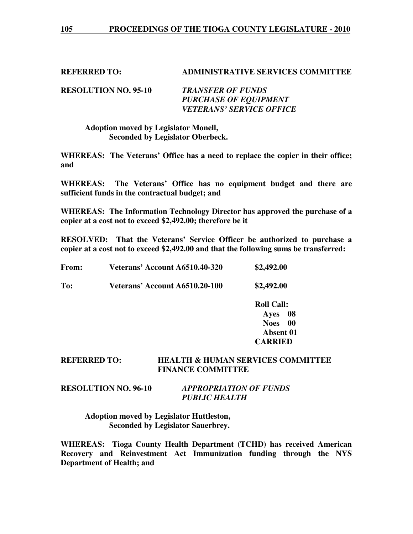#### **REFERRED TO: ADMINISTRATIVE SERVICES COMMITTEE**

**RESOLUTION NO. 95-10** *TRANSFER OF FUNDS PURCHASE OF EQUIPMENT VETERANS' SERVICE OFFICE* 

#### **Adoption moved by Legislator Monell, Seconded by Legislator Oberbeck.**

**WHEREAS: The Veterans' Office has a need to replace the copier in their office; and** 

**WHEREAS: The Veterans' Office has no equipment budget and there are sufficient funds in the contractual budget; and** 

**WHEREAS: The Information Technology Director has approved the purchase of a copier at a cost not to exceed \$2,492.00; therefore be it** 

**RESOLVED: That the Veterans' Service Officer be authorized to purchase a copier at a cost not to exceed \$2,492.00 and that the following sums be transferred:** 

| From: | Veterans' Account A6510.40-320 | \$2,492.00 |
|-------|--------------------------------|------------|
|       |                                |            |

**To: Veterans' Account A6510.20-100 \$2,492.00** 

 **Roll Call: Ayes 08 Noes 00 Absent 01 CARRIED** 

#### **REFERRED TO: HEALTH & HUMAN SERVICES COMMITTEE FINANCE COMMITTEE**

### **RESOLUTION NO. 96-10** *APPROPRIATION OF FUNDS PUBLIC HEALTH*

 **Adoption moved by Legislator Huttleston, Seconded by Legislator Sauerbrey.** 

**WHEREAS: Tioga County Health Department (TCHD) has received American Recovery and Reinvestment Act Immunization funding through the NYS Department of Health; and**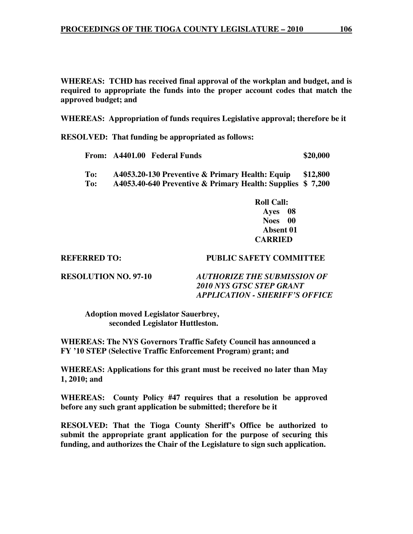**WHEREAS: TCHD has received final approval of the workplan and budget, and is required to appropriate the funds into the proper account codes that match the approved budget; and** 

**WHEREAS: Appropriation of funds requires Legislative approval; therefore be it** 

**RESOLVED: That funding be appropriated as follows:**

|                       | From: A4401.00 Federal Funds                                                                                                                               | \$20,000 |
|-----------------------|------------------------------------------------------------------------------------------------------------------------------------------------------------|----------|
| To:<br>$\mathbf{r}$ . | A4053.20-130 Preventive & Primary Health: Equip<br>$\lambda$ 4052.40 $\zeta$ 40 Dreamenting $\theta$ , Drimsony Haalthe Councilson $\phi$ , $\theta$ , 200 | \$12,800 |

**To: A4053.40-640 Preventive & Primary Health: Supplies \$ 7,200** 

 **Roll Call: Ayes 08 Noes 00 Absent 01 CARRIED** 

#### **REFERRED TO: PUBLIC SAFETY COMMITTEE**

**RESOLUTION NO. 97-10** *AUTHORIZE THE SUBMISSION OF 2010 NYS GTSC STEP GRANT APPLICATION - SHERIFF'S OFFICE* 

 **Adoption moved Legislator Sauerbrey, seconded Legislator Huttleston.** 

**WHEREAS: The NYS Governors Traffic Safety Council has announced a FY '10 STEP (Selective Traffic Enforcement Program) grant; and** 

**WHEREAS: Applications for this grant must be received no later than May 1, 2010; and** 

**WHEREAS: County Policy #47 requires that a resolution be approved before any such grant application be submitted; therefore be it** 

**RESOLVED: That the Tioga County Sheriff's Office be authorized to submit the appropriate grant application for the purpose of securing this funding, and authorizes the Chair of the Legislature to sign such application.**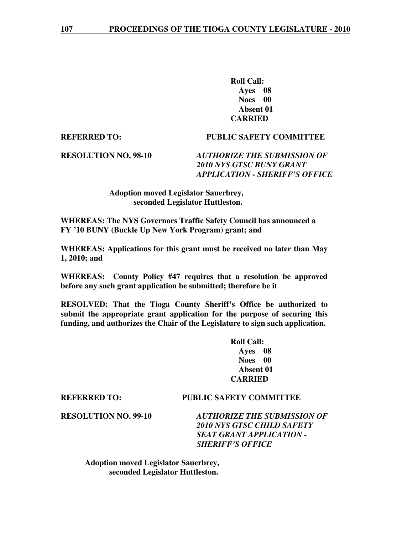**Roll Call: Ayes 08 Noes 00 Absent 01 CARRIED** 

#### **REFERRED TO: PUBLIC SAFETY COMMITTEE**

**RESOLUTION NO. 98-10** *AUTHORIZE THE SUBMISSION OF 2010 NYS GTSC BUNY GRANT APPLICATION - SHERIFF'S OFFICE* 

#### **Adoption moved Legislator Sauerbrey, seconded Legislator Huttleston.**

**WHEREAS: The NYS Governors Traffic Safety Council has announced a FY '10 BUNY (Buckle Up New York Program) grant; and**

**WHEREAS: Applications for this grant must be received no later than May 1, 2010; and** 

**WHEREAS: County Policy #47 requires that a resolution be approved before any such grant application be submitted; therefore be it** 

**RESOLVED: That the Tioga County Sheriff's Office be authorized to submit the appropriate grant application for the purpose of securing this funding, and authorizes the Chair of the Legislature to sign such application.** 

> **Roll Call: Ayes 08 Noes 00 Absent 01 CARRIED**

#### **REFERRED TO: PUBLIC SAFETY COMMITTEE**

**RESOLUTION NO. 99-10** *AUTHORIZE THE SUBMISSION OF 2010 NYS GTSC CHILD SAFETY SEAT GRANT APPLICATION - SHERIFF'S OFFICE* 

 **Adoption moved Legislator Sauerbrey, seconded Legislator Huttleston.**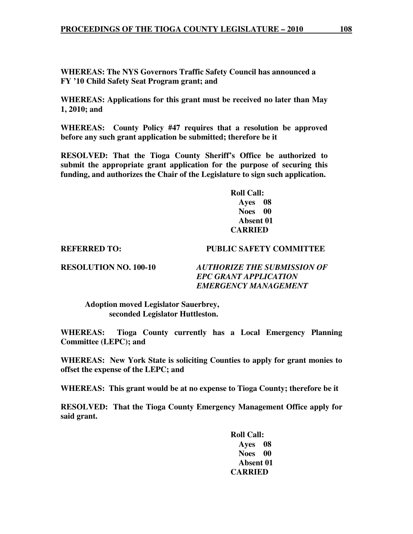**WHEREAS: The NYS Governors Traffic Safety Council has announced a FY '10 Child Safety Seat Program grant; and** 

**WHEREAS: Applications for this grant must be received no later than May 1, 2010; and** 

**WHEREAS: County Policy #47 requires that a resolution be approved before any such grant application be submitted; therefore be it** 

**RESOLVED: That the Tioga County Sheriff's Office be authorized to submit the appropriate grant application for the purpose of securing this funding, and authorizes the Chair of the Legislature to sign such application.** 

> **Roll Call: Ayes 08 Noes 00 Absent 01 CARRIED**

#### **REFERRED TO: PUBLIC SAFETY COMMITTEE**

**RESOLUTION NO. 100-10** *AUTHORIZE THE SUBMISSION OF EPC GRANT APPLICATION EMERGENCY MANAGEMENT* 

 **Adoption moved Legislator Sauerbrey, seconded Legislator Huttleston.** 

**WHEREAS: Tioga County currently has a Local Emergency Planning Committee (LEPC); and** 

**WHEREAS: New York State is soliciting Counties to apply for grant monies to offset the expense of the LEPC; and** 

**WHEREAS: This grant would be at no expense to Tioga County; therefore be it** 

**RESOLVED: That the Tioga County Emergency Management Office apply for said grant.** 

> **Roll Call: Ayes 08 Noes 00 Absent 01 CARRIED**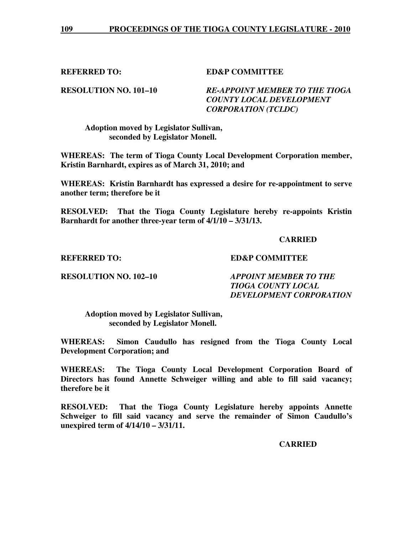**REFERRED TO: ED&P COMMITTEE** 

#### **RESOLUTION NO. 101–10** *RE-APPOINT MEMBER TO THE TIOGA COUNTY LOCAL DEVELOPMENT CORPORATION (TCLDC)*

 **Adoption moved by Legislator Sullivan, seconded by Legislator Monell.** 

**WHEREAS: The term of Tioga County Local Development Corporation member, Kristin Barnhardt, expires as of March 31, 2010; and** 

**WHEREAS: Kristin Barnhardt has expressed a desire for re-appointment to serve another term; therefore be it** 

**RESOLVED: That the Tioga County Legislature hereby re-appoints Kristin Barnhardt for another three-year term of 4/1/10 – 3/31/13.** 

#### **CARRIED**

#### **REFERRED TO: ED&P COMMITTEE**

**RESOLUTION NO. 102–10** *APPOINT MEMBER TO THE TIOGA COUNTY LOCAL DEVELOPMENT CORPORATION* 

 **Adoption moved by Legislator Sullivan, seconded by Legislator Monell.** 

**WHEREAS: Simon Caudullo has resigned from the Tioga County Local Development Corporation; and** 

**WHEREAS: The Tioga County Local Development Corporation Board of Directors has found Annette Schweiger willing and able to fill said vacancy; therefore be it** 

**RESOLVED: That the Tioga County Legislature hereby appoints Annette Schweiger to fill said vacancy and serve the remainder of Simon Caudullo's unexpired term of 4/14/10 – 3/31/11.** 

 **CARRIED**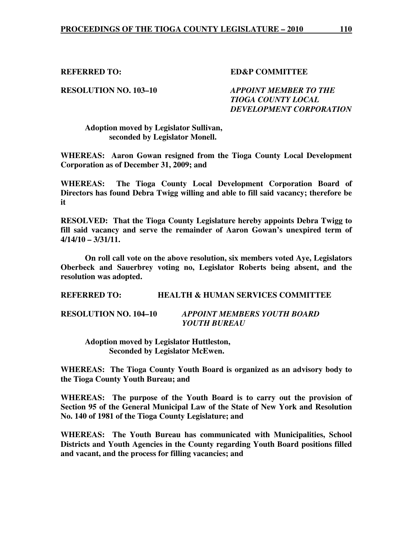**REFERRED TO: ED&P COMMITTEE** 

**RESOLUTION NO. 103–10** *APPOINT MEMBER TO THE TIOGA COUNTY LOCAL DEVELOPMENT CORPORATION* 

 **Adoption moved by Legislator Sullivan, seconded by Legislator Monell.** 

**WHEREAS: Aaron Gowan resigned from the Tioga County Local Development Corporation as of December 31, 2009; and** 

**WHEREAS: The Tioga County Local Development Corporation Board of Directors has found Debra Twigg willing and able to fill said vacancy; therefore be it** 

**RESOLVED: That the Tioga County Legislature hereby appoints Debra Twigg to fill said vacancy and serve the remainder of Aaron Gowan's unexpired term of 4/14/10 – 3/31/11.** 

 **On roll call vote on the above resolution, six members voted Aye, Legislators Oberbeck and Sauerbrey voting no, Legislator Roberts being absent, and the resolution was adopted.** 

**REFERRED TO: HEALTH & HUMAN SERVICES COMMITTEE** 

#### **RESOLUTION NO. 104–10** *APPOINT MEMBERS YOUTH BOARD YOUTH BUREAU*

 **Adoption moved by Legislator Huttleston, Seconded by Legislator McEwen.** 

**WHEREAS: The Tioga County Youth Board is organized as an advisory body to the Tioga County Youth Bureau; and** 

**WHEREAS: The purpose of the Youth Board is to carry out the provision of Section 95 of the General Municipal Law of the State of New York and Resolution No. 140 of 1981 of the Tioga County Legislature; and** 

**WHEREAS: The Youth Bureau has communicated with Municipalities, School Districts and Youth Agencies in the County regarding Youth Board positions filled and vacant, and the process for filling vacancies; and**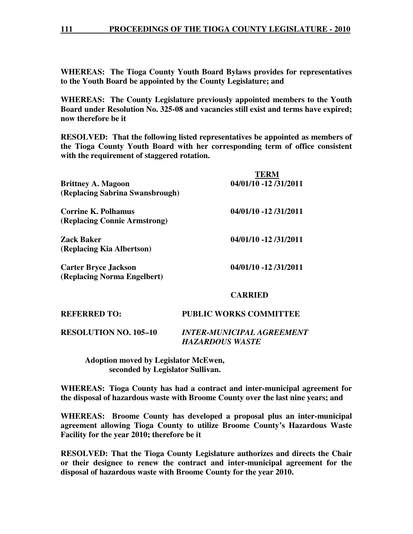#### **111 PROCEEDINGS OF THE TIOGA COUNTY LEGISLATURE - 2010**

**WHEREAS: The Tioga County Youth Board Bylaws provides for representatives to the Youth Board be appointed by the County Legislature; and** 

**WHEREAS: The County Legislature previously appointed members to the Youth Board under Resolution No. 325-08 and vacancies still exist and terms have expired; now therefore be it** 

**RESOLVED: That the following listed representatives be appointed as members of the Tioga County Youth Board with her corresponding term of office consistent with the requirement of staggered rotation.** 

| <b>Brittney A. Magoon</b><br>(Replacing Sabrina Swansbrough) | <b>TERM</b><br>04/01/10 -12 /31/2011 |
|--------------------------------------------------------------|--------------------------------------|
| Corrine K. Polhamus<br>(Replacing Connie Armstrong)          | 04/01/10 -12 /31/2011                |
| Zack Baker<br>(Replacing Kia Albertson)                      | 04/01/10 -12 /31/2011                |
| <b>Carter Bryce Jackson</b><br>(Replacing Norma Engelbert)   | 04/01/10 -12 /31/2011                |
|                                                              | CARRIED                              |

#### **REFERRED TO: PUBLIC WORKS COMMITTEE**

**RESOLUTION NO. 105–10** *INTER-MUNICIPAL AGREEMENT HAZARDOUS WASTE* 

 **Adoption moved by Legislator McEwen, seconded by Legislator Sullivan.** 

**WHEREAS: Tioga County has had a contract and inter-municipal agreement for the disposal of hazardous waste with Broome County over the last nine years; and** 

**WHEREAS: Broome County has developed a proposal plus an inter-municipal agreement allowing Tioga County to utilize Broome County's Hazardous Waste Facility for the year 2010; therefore be it** 

**RESOLVED: That the Tioga County Legislature authorizes and directs the Chair or their designee to renew the contract and inter-municipal agreement for the disposal of hazardous waste with Broome County for the year 2010.**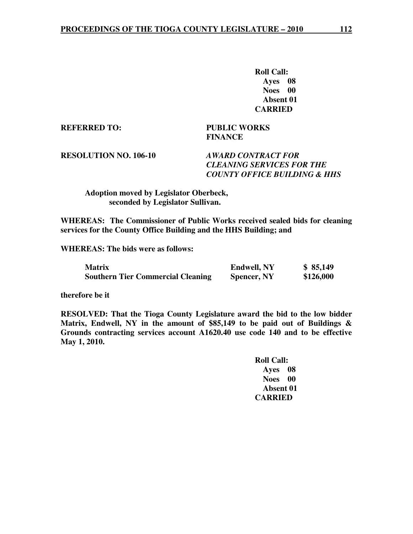**Roll Call: Ayes 08 Noes 00 Absent 01 CARRIED** 

**REFERRED TO: PUBLIC WORKS** 

 **FINANCE** 

# **RESOLUTION NO. 106-10** *AWARD CONTRACT FOR*

# *CLEANING SERVICES FOR THE COUNTY OFFICE BUILDING & HHS*

#### **Adoption moved by Legislator Oberbeck, seconded by Legislator Sullivan.**

**WHEREAS: The Commissioner of Public Works received sealed bids for cleaning services for the County Office Building and the HHS Building; and** 

**WHEREAS: The bids were as follows:** 

| <b>Matrix</b>                            | <b>Endwell, NY</b> | \$85,149  |
|------------------------------------------|--------------------|-----------|
| <b>Southern Tier Commercial Cleaning</b> | <b>Spencer, NY</b> | \$126,000 |

**therefore be it** 

**RESOLVED: That the Tioga County Legislature award the bid to the low bidder Matrix, Endwell, NY in the amount of \$85,149 to be paid out of Buildings & Grounds contracting services account A1620.40 use code 140 and to be effective May 1, 2010.** 

> **Roll Call: Ayes 08 Noes 00 Absent 01 CARRIED**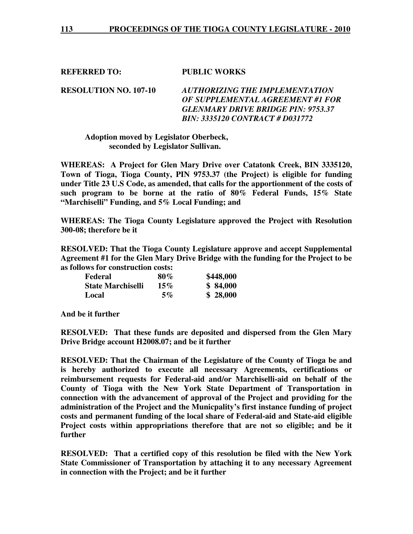**REFERRED TO: PUBLIC WORKS** 

**RESOLUTION NO. 107-10** *AUTHORIZING THE IMPLEMENTATION OF SUPPLEMENTAL AGREEMENT #1 FOR GLENMARY DRIVE BRIDGE PIN: 9753.37 BIN: 3335120 CONTRACT # D031772* 

#### **Adoption moved by Legislator Oberbeck, seconded by Legislator Sullivan.**

**WHEREAS: A Project for Glen Mary Drive over Catatonk Creek, BIN 3335120, Town of Tioga, Tioga County, PIN 9753.37 (the Project) is eligible for funding under Title 23 U.S Code, as amended, that calls for the apportionment of the costs of such program to be borne at the ratio of 80% Federal Funds, 15% State "Marchiselli" Funding, and 5% Local Funding; and** 

**WHEREAS: The Tioga County Legislature approved the Project with Resolution 300-08; therefore be it** 

**RESOLVED: That the Tioga County Legislature approve and accept Supplemental Agreement #1 for the Glen Mary Drive Bridge with the funding for the Project to be as follows for construction costs:** 

| Federal                  | $80\%$ | \$448,000 |
|--------------------------|--------|-----------|
| <b>State Marchiselli</b> | $15\%$ | \$84,000  |
| Local                    | 5%     | \$28,000  |

**And be it further** 

**RESOLVED: That these funds are deposited and dispersed from the Glen Mary Drive Bridge account H2008.07; and be it further** 

**RESOLVED: That the Chairman of the Legislature of the County of Tioga be and is hereby authorized to execute all necessary Agreements, certifications or reimbursement requests for Federal-aid and/or Marchiselli-aid on behalf of the County of Tioga with the New York State Department of Transportation in connection with the advancement of approval of the Project and providing for the administration of the Project and the Municpality's first instance funding of project costs and permanent funding of the local share of Federal-aid and State-aid eligible Project costs within appropriations therefore that are not so eligible; and be it further** 

**RESOLVED: That a certified copy of this resolution be filed with the New York State Commissioner of Transportation by attaching it to any necessary Agreement in connection with the Project; and be it further**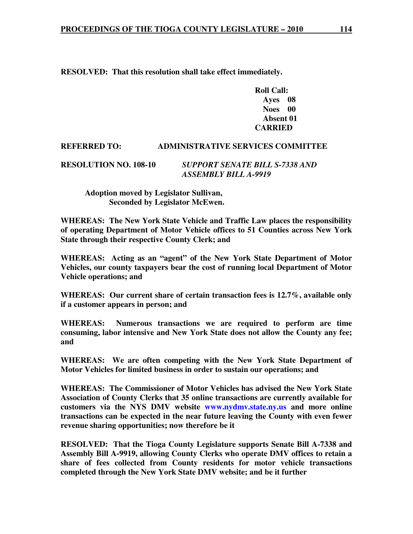**RESOLVED: That this resolution shall take effect immediately.** 

 **Roll Call: Ayes 08 Noes 00 Absent 01 CARRIED** 

#### **REFERRED TO: ADMINISTRATIVE SERVICES COMMITTEE**

#### **RESOLUTION NO. 108-10** *SUPPORT SENATE BILL S-7338 AND ASSEMBLY BILL A-9919*

 **Adoption moved by Legislator Sullivan, Seconded by Legislator McEwen.** 

**WHEREAS: The New York State Vehicle and Traffic Law places the responsibility of operating Department of Motor Vehicle offices to 51 Counties across New York State through their respective County Clerk; and** 

**WHEREAS: Acting as an "agent" of the New York State Department of Motor Vehicles, our county taxpayers bear the cost of running local Department of Motor Vehicle operations; and** 

**WHEREAS: Our current share of certain transaction fees is 12.7%, available only if a customer appears in person; and** 

**WHEREAS: Numerous transactions we are required to perform are time consuming, labor intensive and New York State does not allow the County any fee; and** 

**WHEREAS: We are often competing with the New York State Department of Motor Vehicles for limited business in order to sustain our operations; and** 

**WHEREAS: The Commissioner of Motor Vehicles has advised the New York State Association of County Clerks that 35 online transactions are currently available for customers via the NYS DMV website www.nydmv.state.ny.us and more online transactions can be expected in the near future leaving the County with even fewer revenue sharing opportunities; now therefore be it** 

**RESOLVED: That the Tioga County Legislature supports Senate Bill A-7338 and Assembly Bill A-9919, allowing County Clerks who operate DMV offices to retain a share of fees collected from County residents for motor vehicle transactions completed through the New York State DMV website; and be it further**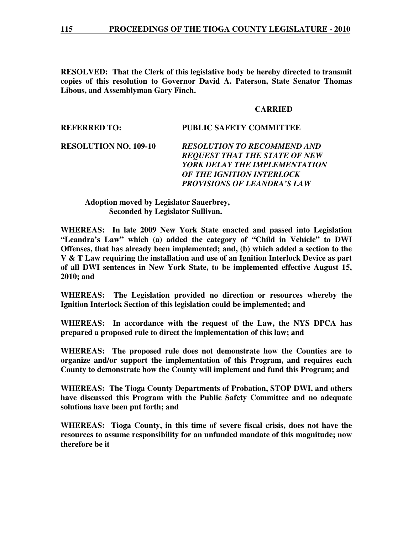**RESOLVED: That the Clerk of this legislative body be hereby directed to transmit copies of this resolution to Governor David A. Paterson, State Senator Thomas Libous, and Assemblyman Gary Finch.**

#### **CARRIED**

#### **REFERRED TO: PUBLIC SAFETY COMMITTEE**

### **RESOLUTION NO. 109-10** *RESOLUTION TO RECOMMEND AND REQUEST THAT THE STATE OF NEW YORK DELAY THE IMPLEMENTATION OF THE IGNITION INTERLOCK PROVISIONS OF LEANDRA'S LAW*

#### **Adoption moved by Legislator Sauerbrey, Seconded by Legislator Sullivan.**

**WHEREAS: In late 2009 New York State enacted and passed into Legislation "Leandra's Law" which (a) added the category of "Child in Vehicle" to DWI Offenses, that has already been implemented; and, (b) which added a section to the V & T Law requiring the installation and use of an Ignition Interlock Device as part of all DWI sentences in New York State, to be implemented effective August 15, 2010; and** 

**WHEREAS: The Legislation provided no direction or resources whereby the Ignition Interlock Section of this legislation could be implemented; and** 

**WHEREAS: In accordance with the request of the Law, the NYS DPCA has prepared a proposed rule to direct the implementation of this law; and** 

**WHEREAS: The proposed rule does not demonstrate how the Counties are to organize and/or support the implementation of this Program, and requires each County to demonstrate how the County will implement and fund this Program; and** 

**WHEREAS: The Tioga County Departments of Probation, STOP DWI, and others have discussed this Program with the Public Safety Committee and no adequate solutions have been put forth; and** 

**WHEREAS: Tioga County, in this time of severe fiscal crisis, does not have the resources to assume responsibility for an unfunded mandate of this magnitude; now therefore be it**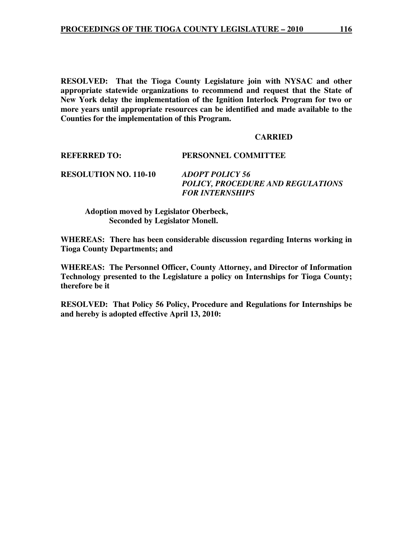**RESOLVED: That the Tioga County Legislature join with NYSAC and other appropriate statewide organizations to recommend and request that the State of New York delay the implementation of the Ignition Interlock Program for two or more years until appropriate resources can be identified and made available to the Counties for the implementation of this Program.** 

#### **CARRIED**

**REFERRED TO: PERSONNEL COMMITTEE** 

**RESOLUTION NO. 110-10** *ADOPT POLICY 56* 

 *POLICY, PROCEDURE AND REGULATIONS FOR INTERNSHIPS* 

 **Adoption moved by Legislator Oberbeck, Seconded by Legislator Monell.** 

**WHEREAS: There has been considerable discussion regarding Interns working in Tioga County Departments; and** 

**WHEREAS: The Personnel Officer, County Attorney, and Director of Information Technology presented to the Legislature a policy on Internships for Tioga County; therefore be it** 

**RESOLVED: That Policy 56 Policy, Procedure and Regulations for Internships be and hereby is adopted effective April 13, 2010:**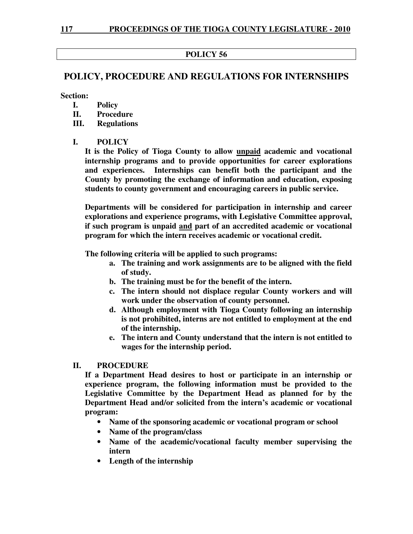### **POLICY 56**

## **POLICY, PROCEDURE AND REGULATIONS FOR INTERNSHIPS**

**Section:** 

- **I. Policy**
- **II. Procedure**
- **III. Regulations**

#### **I. POLICY**

**It is the Policy of Tioga County to allow unpaid academic and vocational internship programs and to provide opportunities for career explorations and experiences. Internships can benefit both the participant and the County by promoting the exchange of information and education, exposing students to county government and encouraging careers in public service.** 

**Departments will be considered for participation in internship and career explorations and experience programs, with Legislative Committee approval, if such program is unpaid and part of an accredited academic or vocational program for which the intern receives academic or vocational credit.** 

**The following criteria will be applied to such programs:** 

- **a. The training and work assignments are to be aligned with the field of study.**
- **b. The training must be for the benefit of the intern.**
- **c. The intern should not displace regular County workers and will work under the observation of county personnel.**
- **d. Although employment with Tioga County following an internship is not prohibited, interns are not entitled to employment at the end of the internship.**
- **e. The intern and County understand that the intern is not entitled to wages for the internship period.**

### **II. PROCEDURE**

**If a Department Head desires to host or participate in an internship or experience program, the following information must be provided to the Legislative Committee by the Department Head as planned for by the Department Head and/or solicited from the intern's academic or vocational program:** 

- **Name of the sponsoring academic or vocational program or school**
- **Name of the program/class**
- **Name of the academic/vocational faculty member supervising the intern**
- **Length of the internship**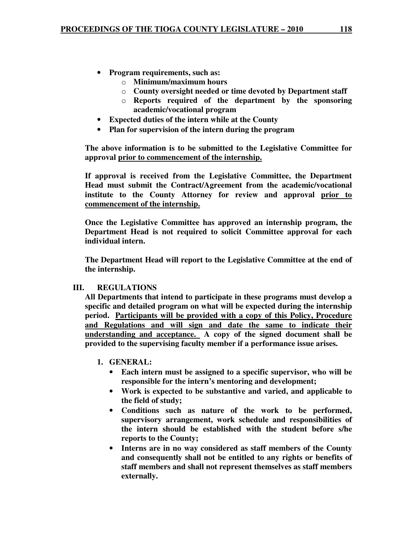- **Program requirements, such as:** 
	- o **Minimum/maximum hours**
	- o **County oversight needed or time devoted by Department staff**
	- o **Reports required of the department by the sponsoring academic/vocational program**
- **Expected duties of the intern while at the County**
- **Plan for supervision of the intern during the program**

**The above information is to be submitted to the Legislative Committee for approval prior to commencement of the internship.**

**If approval is received from the Legislative Committee, the Department Head must submit the Contract/Agreement from the academic/vocational institute to the County Attorney for review and approval prior to commencement of the internship.**

**Once the Legislative Committee has approved an internship program, the Department Head is not required to solicit Committee approval for each individual intern.** 

**The Department Head will report to the Legislative Committee at the end of the internship.** 

#### **III. REGULATIONS**

**All Departments that intend to participate in these programs must develop a specific and detailed program on what will be expected during the internship period. Participants will be provided with a copy of this Policy, Procedure and Regulations and will sign and date the same to indicate their understanding and acceptance. A copy of the signed document shall be provided to the supervising faculty member if a performance issue arises.** 

#### **1. GENERAL:**

- **Each intern must be assigned to a specific supervisor, who will be responsible for the intern's mentoring and development;**
- **Work is expected to be substantive and varied, and applicable to the field of study;**
- **Conditions such as nature of the work to be performed, supervisory arrangement, work schedule and responsibilities of the intern should be established with the student before s/he reports to the County;**
- **Interns are in no way considered as staff members of the County and consequently shall not be entitled to any rights or benefits of staff members and shall not represent themselves as staff members externally.**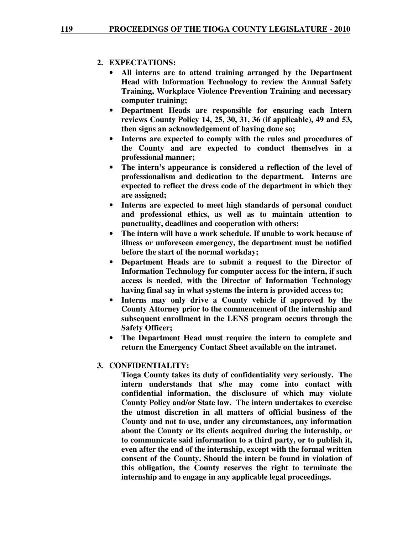#### **2. EXPECTATIONS:**

- **All interns are to attend training arranged by the Department Head with Information Technology to review the Annual Safety Training, Workplace Violence Prevention Training and necessary computer training;**
- **Department Heads are responsible for ensuring each Intern reviews County Policy 14, 25, 30, 31, 36 (if applicable), 49 and 53, then signs an acknowledgement of having done so;**
- **Interns are expected to comply with the rules and procedures of the County and are expected to conduct themselves in a professional manner;**
- **The intern's appearance is considered a reflection of the level of professionalism and dedication to the department. Interns are expected to reflect the dress code of the department in which they are assigned;**
- **Interns are expected to meet high standards of personal conduct and professional ethics, as well as to maintain attention to punctuality, deadlines and cooperation with others;**
- **The intern will have a work schedule. If unable to work because of illness or unforeseen emergency, the department must be notified before the start of the normal workday;**
- **Department Heads are to submit a request to the Director of Information Technology for computer access for the intern, if such access is needed, with the Director of Information Technology having final say in what systems the intern is provided access to;**
- **Interns may only drive a County vehicle if approved by the County Attorney prior to the commencement of the internship and subsequent enrollment in the LENS program occurs through the Safety Officer;**
- **The Department Head must require the intern to complete and return the Emergency Contact Sheet available on the intranet.**

### **3. CONFIDENTIALITY:**

**Tioga County takes its duty of confidentiality very seriously. The intern understands that s/he may come into contact with confidential information, the disclosure of which may violate County Policy and/or State law. The intern undertakes to exercise the utmost discretion in all matters of official business of the County and not to use, under any circumstances, any information about the County or its clients acquired during the internship, or to communicate said information to a third party, or to publish it, even after the end of the internship, except with the formal written consent of the County. Should the intern be found in violation of this obligation, the County reserves the right to terminate the internship and to engage in any applicable legal proceedings.**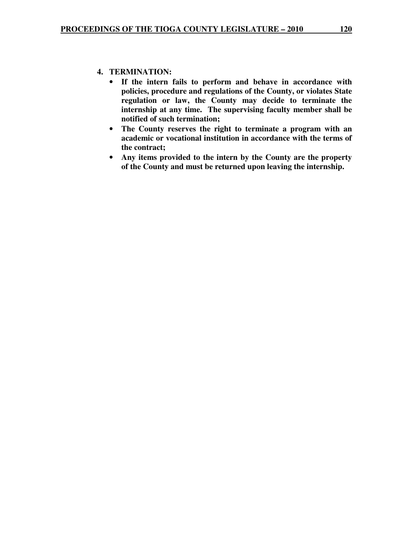#### **4. TERMINATION:**

- **If the intern fails to perform and behave in accordance with policies, procedure and regulations of the County, or violates State regulation or law, the County may decide to terminate the internship at any time. The supervising faculty member shall be notified of such termination;**
- **The County reserves the right to terminate a program with an academic or vocational institution in accordance with the terms of the contract;**
- **Any items provided to the intern by the County are the property of the County and must be returned upon leaving the internship.**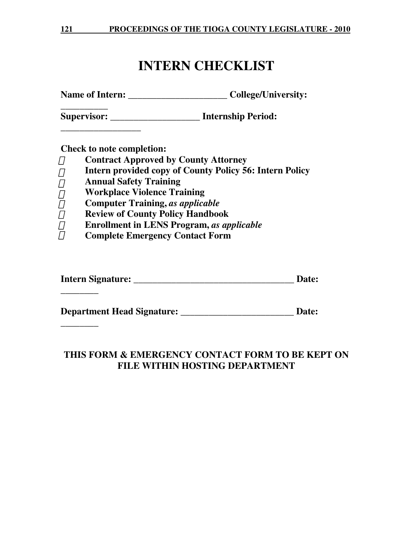# **INTERN CHECKLIST**

Name of Intern: \_\_\_\_\_\_\_\_\_\_\_\_\_\_\_\_\_\_\_\_\_\_\_\_\_\_\_\_\_\_College/University:

**\_\_\_\_\_\_\_\_\_\_ Supervisor: \_\_\_\_\_\_\_\_\_\_\_\_\_\_\_\_\_\_\_ Internship Period:** 

**Check to note completion:** 

**\_\_\_\_\_\_\_\_\_\_\_\_\_\_\_\_\_** 

**\_\_\_\_\_\_\_\_** 

**\_\_\_\_\_\_\_\_** 

- **Contract Approved by County Attorney**
- **Intern provided copy of County Policy 56: Intern Policy**
- $\overline{7}$  Annual Safety Training
- **Workplace Violence Training**   $\Box$
- **Computer Training,** *as applicable*  $\prod$
- **Review of County Policy Handbook**   $\Box$
- **Enrollment in LENS Program,** *as applicable*  $\Box$
- **Complete Emergency Contact Form**   $\prod$

**Intern Signature: \_\_\_\_\_\_\_\_\_\_\_\_\_\_\_\_\_\_\_\_\_\_\_\_\_\_\_\_\_\_\_\_\_\_ Date:** 

**Department Head Signature: \_\_\_\_\_\_\_\_\_\_\_\_\_\_\_\_\_\_\_\_\_\_\_\_ Date:** 

# **THIS FORM & EMERGENCY CONTACT FORM TO BE KEPT ON FILE WITHIN HOSTING DEPARTMENT**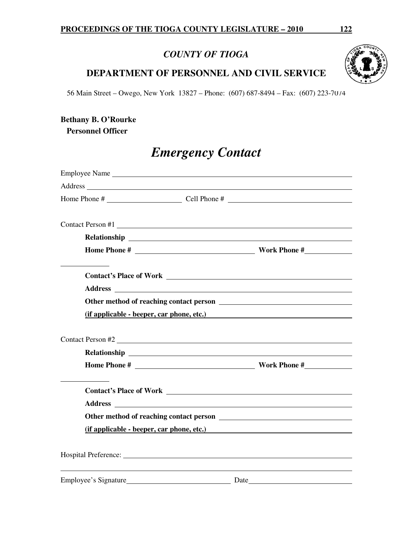# *COUNTY OF TIOGA*

# **DEPARTMENT OF PERSONNEL AND CIVIL SERVICE**

56 Main Street – Owego, New York 13827 – Phone: (607) 687-8494 – Fax: (607) 223-7074

# **Bethany B. O'Rourke Personnel Officer**

# *Emergency Contact*

| Address and the contract of the contract of the contract of the contract of the contract of the contract of the contract of the contract of the contract of the contract of the contract of the contract of the contract of th       |                                                         |                                           |
|--------------------------------------------------------------------------------------------------------------------------------------------------------------------------------------------------------------------------------------|---------------------------------------------------------|-------------------------------------------|
|                                                                                                                                                                                                                                      |                                                         |                                           |
| Contact Person #1                                                                                                                                                                                                                    |                                                         |                                           |
|                                                                                                                                                                                                                                      |                                                         |                                           |
|                                                                                                                                                                                                                                      |                                                         |                                           |
|                                                                                                                                                                                                                                      |                                                         | <b>Contact's Place of Work</b>            |
| <b>Address</b>                                                                                                                                                                                                                       | <u> 1989 - Johann Barnett, fransk politik (d. 1989)</u> |                                           |
|                                                                                                                                                                                                                                      |                                                         |                                           |
|                                                                                                                                                                                                                                      |                                                         | (if applicable - beeper, car phone, etc.) |
| Contact Person #2                                                                                                                                                                                                                    |                                                         |                                           |
|                                                                                                                                                                                                                                      |                                                         |                                           |
|                                                                                                                                                                                                                                      |                                                         | <b>Home Phone #</b>                       |
|                                                                                                                                                                                                                                      |                                                         | <b>Contact's Place of Work</b>            |
|                                                                                                                                                                                                                                      |                                                         |                                           |
|                                                                                                                                                                                                                                      |                                                         |                                           |
|                                                                                                                                                                                                                                      |                                                         | (if applicable - beeper, car phone, etc.) |
|                                                                                                                                                                                                                                      |                                                         |                                           |
| Employee's Signature <u>Letteral and the set of the set of the set of the set of the set of the set of the set of the set of the set of the set of the set of the set of the set of the set of the set of the set of the set of </u> |                                                         |                                           |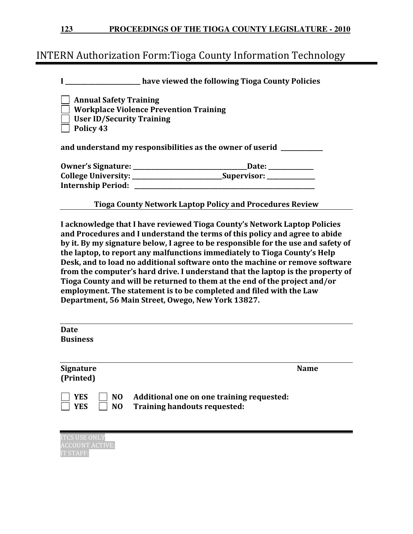|  | 123 |  |  |  |  | <b>PROCEEDINGS OF THE TIOGA COUNTY LEGISLATURE - 2010</b> |  |
|--|-----|--|--|--|--|-----------------------------------------------------------|--|
|--|-----|--|--|--|--|-----------------------------------------------------------|--|

# INTERN Authorization Form:Tioga County Information Technology

| have viewed the following Tioga County Policies |
|-------------------------------------------------|
|                                                 |

Annual Safety Training Workplace Violence Prevention Training User ID/Security Training Policy 43 and understand my responsibilities as the owner of userid \_\_\_\_\_\_\_\_\_\_\_\_\_\_\_\_\_\_\_\_\_\_ Owner's Signature: \_\_\_\_\_\_\_\_\_\_\_\_\_\_\_\_\_\_\_\_\_\_\_\_\_\_\_\_\_\_\_\_\_\_\_\_\_\_Date: \_\_\_\_\_\_\_\_\_\_\_\_\_\_\_ College University: \_\_\_\_\_\_\_\_\_\_\_\_\_\_\_\_\_\_\_\_\_\_\_\_\_\_Supervisor: \_\_\_\_\_\_\_\_\_\_\_\_\_\_\_\_\_\_\_\_\_\_ Internship Period: \_\_\_\_\_\_\_\_\_\_\_\_\_\_\_\_\_\_\_\_\_\_\_\_\_\_\_\_\_\_\_\_\_\_\_\_\_\_\_\_\_\_\_\_\_\_\_\_\_\_\_\_\_\_\_\_\_\_\_\_

Tioga County Network Laptop Policy and Procedures Review

I acknowledge that I have reviewed Tioga County's Network Laptop Policies and Procedures and I understand the terms of this policy and agree to abide by it. By my signature below, I agree to be responsible for the use and safety of the laptop, to report any malfunctions immediately to Tioga County's Help Desk, and to load no additional software onto the machine or remove software from the computer's hard drive. I understand that the laptop is the property of Tioga County and will be returned to them at the end of the project and/or employment. The statement is to be completed and filed with the Law Department, 56 Main Street, Owego, New York 13827.

| <b>Date</b><br><b>Business</b>                               |                                                                           |             |
|--------------------------------------------------------------|---------------------------------------------------------------------------|-------------|
| <b>Signature</b><br>(Printed)                                |                                                                           | <b>Name</b> |
| <b>YES</b><br>N <sub>O</sub><br><b>YES</b><br>N <sub>O</sub> | Additional one on one training requested:<br>Training handouts requested: |             |

| ITCS USE ONLY   |
|-----------------|
| ACCOUNT ACTIVE: |
| IT STAFF:I      |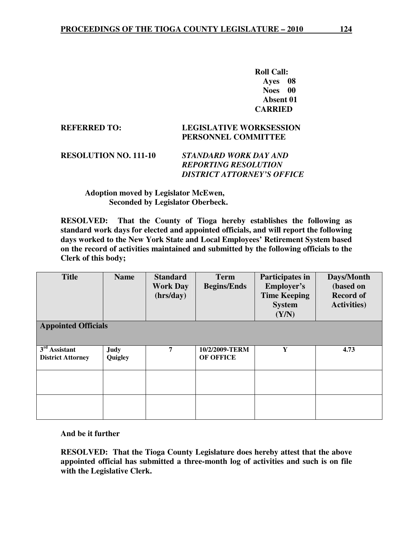**Roll Call: Ayes 08 Noes 00 Absent 01 CARRIED** 

#### **REFERRED TO: LEGISLATIVE WORKSESSION PERSONNEL COMMITTEE**

| <b>RESOLUTION NO. 111-10</b> | STANDARD WORK DAY AND       |
|------------------------------|-----------------------------|
|                              | <b>REPORTING RESOLUTION</b> |
|                              | DISTRICT ATTORNEY'S OFFICE  |

#### **Adoption moved by Legislator McEwen, Seconded by Legislator Oberbeck.**

**RESOLVED: That the County of Tioga hereby establishes the following as standard work days for elected and appointed officials, and will report the following days worked to the New York State and Local Employees' Retirement System based on the record of activities maintained and submitted by the following officials to the Clerk of this body;** 

| <b>Title</b>                                | <b>Name</b>            | <b>Standard</b><br><b>Work Day</b><br>(hrs/day) | <b>Term</b><br><b>Begins/Ends</b> | Participates in<br><b>Employer's</b><br><b>Time Keeping</b><br><b>System</b><br>(Y/N) | Days/Month<br>(based on<br><b>Record of</b><br><b>Activities</b> ) |  |  |
|---------------------------------------------|------------------------|-------------------------------------------------|-----------------------------------|---------------------------------------------------------------------------------------|--------------------------------------------------------------------|--|--|
| <b>Appointed Officials</b>                  |                        |                                                 |                                   |                                                                                       |                                                                    |  |  |
| $3rd$ Assistant<br><b>District Attorney</b> | <b>Judy</b><br>Quigley | 7                                               | 10/2/2009-TERM<br>OF OFFICE       | Y                                                                                     | 4.73                                                               |  |  |
|                                             |                        |                                                 |                                   |                                                                                       |                                                                    |  |  |
|                                             |                        |                                                 |                                   |                                                                                       |                                                                    |  |  |

**And be it further** 

**RESOLVED: That the Tioga County Legislature does hereby attest that the above appointed official has submitted a three-month log of activities and such is on file with the Legislative Clerk.**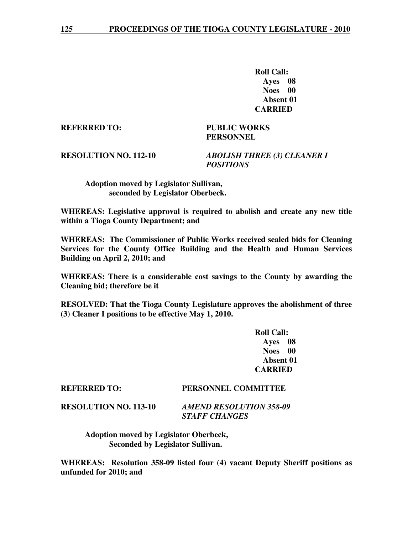**Roll Call: Ayes 08 Noes 00 Absent 01 CARRIED** 

**REFERRED TO: PUBLIC WORKS** 

 **PERSONNEL** 

**RESOLUTION NO. 112-10** *ABOLISH THREE (3) CLEANER I POSITIONS* 

 **Adoption moved by Legislator Sullivan, seconded by Legislator Oberbeck.** 

**WHEREAS: Legislative approval is required to abolish and create any new title within a Tioga County Department; and** 

**WHEREAS: The Commissioner of Public Works received sealed bids for Cleaning Services for the County Office Building and the Health and Human Services Building on April 2, 2010; and** 

**WHEREAS: There is a considerable cost savings to the County by awarding the Cleaning bid; therefore be it** 

**RESOLVED: That the Tioga County Legislature approves the abolishment of three (3) Cleaner I positions to be effective May 1, 2010.** 

> **Roll Call: Ayes 08 Noes 00 Absent 01 CARRIED**

#### **REFERRED TO: PERSONNEL COMMITTEE**

**RESOLUTION NO. 113-10** *AMEND RESOLUTION 358-09 STAFF CHANGES* 

> **Adoption moved by Legislator Oberbeck, Seconded by Legislator Sullivan.**

**WHEREAS: Resolution 358-09 listed four (4) vacant Deputy Sheriff positions as unfunded for 2010; and**